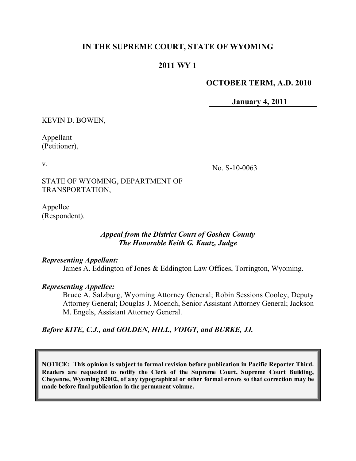# **IN THE SUPREME COURT, STATE OF WYOMING**

# **2011 WY 1**

### **OCTOBER TERM, A.D. 2010**

**January 4, 2011**

KEVIN D. BOWEN,

Appellant (Petitioner),

v.

No. S-10-0063

STATE OF WYOMING, DEPARTMENT OF TRANSPORTATION,

Appellee (Respondent).

#### *Appeal from the District Court of Goshen County The Honorable Keith G. Kautz, Judge*

*Representing Appellant:*

James A. Eddington of Jones & Eddington Law Offices, Torrington, Wyoming.

*Representing Appellee:*

Bruce A. Salzburg, Wyoming Attorney General; Robin Sessions Cooley, Deputy Attorney General; Douglas J. Moench, Senior Assistant Attorney General; Jackson M. Engels, Assistant Attorney General.

*Before KITE, C.J., and GOLDEN, HILL, VOIGT, and BURKE, JJ.*

**NOTICE: This opinion is subject to formal revision before publication in Pacific Reporter Third. Readers are requested to notify the Clerk of the Supreme Court, Supreme Court Building, Cheyenne, Wyoming 82002, of any typographical or other formal errors so that correction may be made before final publication in the permanent volume.**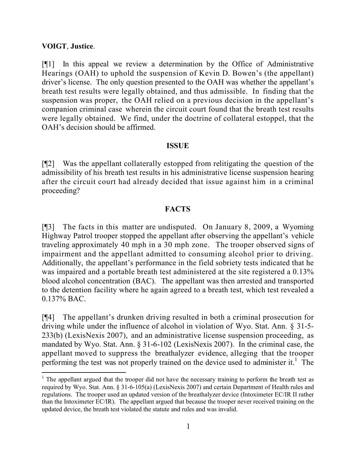#### **VOIGT**, **Justice**.

l

[¶1] In this appeal we review a determination by the Office of Administrative Hearings (OAH) to uphold the suspension of Kevin D. Bowen's (the appellant) driver's license. The only question presented to the OAH was whether the appellant's breath test results were legally obtained, and thus admissible. In finding that the suspension was proper, the OAH relied on a previous decision in the appellant's companion criminal case wherein the circuit court found that the breath test results were legally obtained. We find, under the doctrine of collateral estoppel, that the OAH's decision should be affirmed.

#### **ISSUE**

[¶2] Was the appellant collaterally estopped from relitigating the question of the admissibility of his breath test results in his administrative license suspension hearing after the circuit court had already decided that issue against him in a criminal proceeding?

# **FACTS**

[¶3] The facts in this matter are undisputed. On January 8, 2009, a Wyoming Highway Patrol trooper stopped the appellant after observing the appellant's vehicle traveling approximately 40 mph in a 30 mph zone. The trooper observed signs of impairment and the appellant admitted to consuming alcohol prior to driving. Additionally, the appellant's performance in the field sobriety tests indicated that he was impaired and a portable breath test administered at the site registered a 0.13% blood alcohol concentration (BAC). The appellant was then arrested and transported to the detention facility where he again agreed to a breath test, which test revealed a 0.137% BAC.

[¶4] The appellant's drunken driving resulted in both a criminal prosecution for driving while under the influence of alcohol in violation of Wyo. Stat. Ann. § 31-5- 233(b) (LexisNexis 2007), and an administrative license suspension proceeding, as mandated by Wyo. Stat. Ann. § 31-6-102 (LexisNexis 2007). In the criminal case, the appellant moved to suppress the breathalyzer evidence, alleging that the trooper performing the test was not properly trained on the device used to administer it.<sup>1</sup> The

<sup>&</sup>lt;sup>1</sup> The appellant argued that the trooper did not have the necessary training to perform the breath test as required by Wyo. Stat. Ann. § 31-6-105(a) (LexisNexis 2007) and certain Department of Health rules and regulations. The trooper used an updated version of the breathalyzer device (Intoximeter EC/IR II rather than the Intoximeter EC/IR). The appellant argued that because the trooper never received training on the updated device, the breath test violated the statute and rules and was invalid.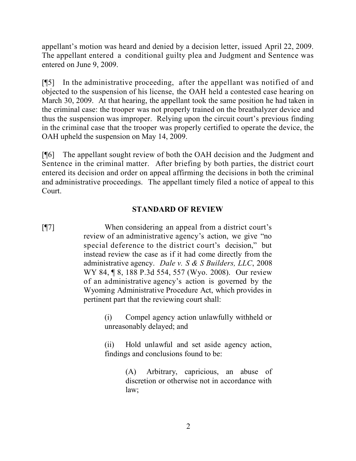appellant's motion was heard and denied by a decision letter, issued April 22, 2009. The appellant entered a conditional guilty plea and Judgment and Sentence was entered on June 9, 2009.

[¶5] In the administrative proceeding, after the appellant was notified of and objected to the suspension of his license, the OAH held a contested case hearing on March 30, 2009. At that hearing, the appellant took the same position he had taken in the criminal case: the trooper was not properly trained on the breathalyzer device and thus the suspension was improper. Relying upon the circuit court's previous finding in the criminal case that the trooper was properly certified to operate the device, the OAH upheld the suspension on May 14, 2009.

[¶6] The appellant sought review of both the OAH decision and the Judgment and Sentence in the criminal matter. After briefing by both parties, the district court entered its decision and order on appeal affirming the decisions in both the criminal and administrative proceedings. The appellant timely filed a notice of appeal to this Court.

# **STANDARD OF REVIEW**

[¶7] When considering an appeal from a district court's review of an administrative agency's action, we give "no special deference to the district court's decision," but instead review the case as if it had come directly from the administrative agency. *Dale v. S & S Builders, LLC*, 2008 WY 84, ¶ 8, 188 P.3d 554, 557 (Wyo. 2008). Our review of an administrative agency's action is governed by the Wyoming Administrative Procedure Act, which provides in pertinent part that the reviewing court shall:

> (i) Compel agency action unlawfully withheld or unreasonably delayed; and

> (ii) Hold unlawful and set aside agency action, findings and conclusions found to be:

> > (A) Arbitrary, capricious, an abuse of discretion or otherwise not in accordance with law;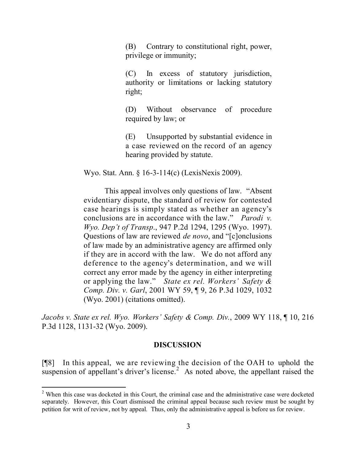(B) Contrary to constitutional right, power, privilege or immunity;

(C) In excess of statutory jurisdiction, authority or limitations or lacking statutory right;

(D) Without observance of procedure required by law; or

(E) Unsupported by substantial evidence in a case reviewed on the record of an agency hearing provided by statute.

Wyo. Stat. Ann. § 16-3-114(c) (LexisNexis 2009).

This appeal involves only questions of law. "Absent evidentiary dispute, the standard of review for contested case hearings is simply stated as whether an agency's conclusions are in accordance with the law." *Parodi v. Wyo. Dep't of Transp*., 947 P.2d 1294, 1295 (Wyo. 1997). Questions of law are reviewed *de novo*, and "[c]onclusions of law made by an administrative agency are affirmed only if they are in accord with the law. We do not afford any deference to the agency's determination, and we will correct any error made by the agency in either interpreting or applying the law." *State ex rel. Workers' Safety & Comp. Div. v. Garl*, 2001 WY 59, ¶ 9, 26 P.3d 1029, 1032 (Wyo. 2001) (citations omitted).

*Jacobs v. State ex rel. Wyo. Workers' Safety & Comp. Div.*, 2009 WY 118, ¶ 10, 216 P.3d 1128, 1131-32 (Wyo. 2009).

#### **DISCUSSION**

[¶8] In this appeal, we are reviewing the decision of the OAH to uphold the suspension of appellant's driver's license.<sup>2</sup> As noted above, the appellant raised the

l

<sup>&</sup>lt;sup>2</sup> When this case was docketed in this Court, the criminal case and the administrative case were docketed separately. However, this Court dismissed the criminal appeal because such review must be sought by petition for writ of review, not by appeal. Thus, only the administrative appeal is before us for review.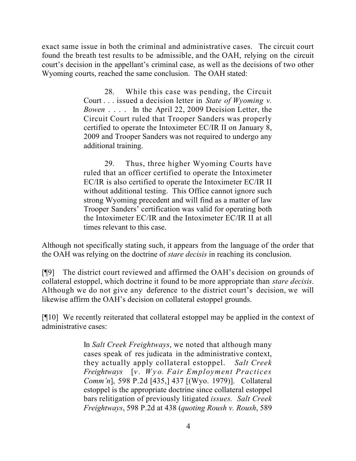exact same issue in both the criminal and administrative cases. The circuit court found the breath test results to be admissible, and the OAH, relying on the circuit court's decision in the appellant's criminal case, as well as the decisions of two other Wyoming courts, reached the same conclusion. The OAH stated:

> 28. While this case was pending, the Circuit Court . . . issued a decision letter in *State of Wyoming v. Bowen* . . . . In the April 22, 2009 Decision Letter, the Circuit Court ruled that Trooper Sanders was properly certified to operate the Intoximeter EC/IR II on January 8, 2009 and Trooper Sanders was not required to undergo any additional training.

> 29. Thus, three higher Wyoming Courts have ruled that an officer certified to operate the Intoximeter EC/IR is also certified to operate the Intoximeter EC/IR II without additional testing. This Office cannot ignore such strong Wyoming precedent and will find as a matter of law Trooper Sanders' certification was valid for operating both the Intoximeter EC/IR and the Intoximeter EC/IR II at all times relevant to this case.

Although not specifically stating such, it appears from the language of the order that the OAH was relying on the doctrine of *stare decisis* in reaching its conclusion.

[¶9] The district court reviewed and affirmed the OAH's decision on grounds of collateral estoppel, which doctrine it found to be more appropriate than *stare decisis*. Although we do not give any deference to the district court's decision, we will likewise affirm the OAH's decision on collateral estoppel grounds.

[¶10] We recently reiterated that collateral estoppel may be applied in the context of administrative cases:

> In *Salt Creek Freightways*, we noted that although many cases speak of res judicata in the administrative context, they actually apply collateral estoppel. *Salt Creek Freightways* [*v. Wyo. Fair Employment Practices Comm'n*], 598 P.2d [435,] 437 [(Wyo. 1979)]. Collateral estoppel is the appropriate doctrine since collateral estoppel bars relitigation of previously litigated *issues. Salt Creek Freightways*, 598 P.2d at 438 (*quoting Roush v. Roush*, 589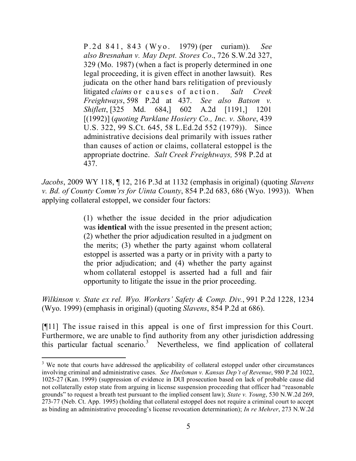P.2d 841, 843 (Wyo. 1979) (per curiam)). *See also Bresnahan v. May Dept. Stores Co*., 726 S.W.2d 327, 329 (Mo. 1987) (when a fact is properly determined in one legal proceeding, it is given effect in another lawsuit). Res judicata on the other hand bars relitigation of previously litigated *claims* or causes of action. *Salt Creek Freightways*, 598 P.2d at 437. *See also Batson v. Shiflett*, [325 Md. 684,] 602 A.2d [1191,] 1201 [(1992)] (*quoting Parklane Hosiery Co., Inc. v. Shore*, 439 U.S. 322, 99 S.Ct. 645, 58 L.Ed.2d 552 (1979)). Since administrative decisions deal primarily with issues rather than causes of action or claims, collateral estoppel is the appropriate doctrine. *Salt Creek Freightways,* 598 P.2d at 437.

*Jacobs*, 2009 WY 118, ¶ 12, 216 P.3d at 1132 (emphasis in original) (quoting *Slavens v. Bd. of County Comm'rs for Uinta County*, 854 P.2d 683, 686 (Wyo. 1993)). When applying collateral estoppel, we consider four factors:

> (1) whether the issue decided in the prior adjudication was **identical** with the issue presented in the present action; (2) whether the prior adjudication resulted in a judgment on the merits; (3) whether the party against whom collateral estoppel is asserted was a party or in privity with a party to the prior adjudication; and (4) whether the party against whom collateral estoppel is asserted had a full and fair opportunity to litigate the issue in the prior proceeding.

*Wilkinson v. State ex rel. Wyo. Workers' Safety & Comp. Div.*, 991 P.2d 1228, 1234 (Wyo. 1999) (emphasis in original) (quoting *Slavens*, 854 P.2d at 686).

[¶11] The issue raised in this appeal is one of first impression for this Court. Furthermore, we are unable to find authority from any other jurisdiction addressing this particular factual scenario. <sup>3</sup> Nevertheless, we find application of collateral

l

<sup>&</sup>lt;sup>3</sup> We note that courts have addressed the applicability of collateral estoppel under other circumstances involving criminal and administrative cases. *See Huelsman v. Kansas Dep't of Revenue*, 980 P.2d 1022, 1025-27 (Kan. 1999) (suppression of evidence in DUI prosecution based on lack of probable cause did not collaterally estop state from arguing in license suspension proceeding that officer had "reasonable grounds" to request a breath test pursuant to the implied consent law); *State v. Young*, 530 N.W.2d 269, 273-77 (Neb. Ct. App. 1995) (holding that collateral estoppel does not require a criminal court to accept as binding an administrative proceeding's license revocation determination); *In re Mehrer*, 273 N.W.2d